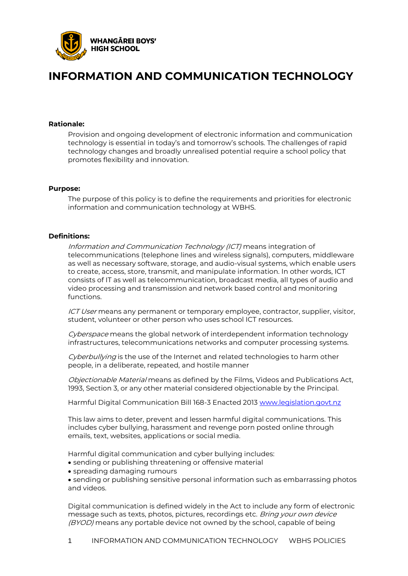

# **INFORMATION AND COMMUNICATION TECHNOLOGY**

### **Rationale:**

Provision and ongoing development of electronic information and communication technology is essential in today's and tomorrow's schools. The challenges of rapid technology changes and broadly unrealised potential require a school policy that promotes flexibility and innovation.

#### **Purpose:**

The purpose of this policy is to define the requirements and priorities for electronic information and communication technology at WBHS.

#### **Definitions:**

Information and Communication Technology (ICT) means integration of [telecommunications](http://en.wikipedia.org/wiki/Telecommunications) [\(telephone](http://en.wikipedia.org/wiki/Telephone) lines and wireless signals), computers, [middleware](http://en.wikipedia.org/wiki/Middleware) as well as necessary software, storage, and audio-visual systems, which enable users to create, access, store, transmit, and manipulate information. In other words, ICT consists of IT as well as [telecommunication,](http://en.wikipedia.org/wiki/Telecommunication) [broadcast](http://en.wikipedia.org/wiki/Broadcast) media, all types of audio and video processing and transmission and network based control and monitoring functions.

ICT User means any permanent or temporary employee, contractor, supplier, visitor, student, volunteer or other person who uses school ICT resources.

Cyberspace means the global network of interdependent information technology infrastructures, telecommunications networks and computer processing systems.

Cyberbullying is the use of the Internet and [related technologies](http://en.wikipedia.org/wiki/Telecommunication) to harm other people, in a deliberate, repeated, and hostile manner

Objectionable Material means as defined by the Films, Videos and Publications Act, 1993, Section 3, or any other material considered objectionable by the Principal.

Harmful Digital Communication Bill 168-3 Enacted 2013 [www.legislation.govt.nz](http://www.legislation.govt.nz/bill/government/2013/0168/latest/whole.html)

This law aims to deter, prevent and lessen harmful digital communications. This includes cyber bullying, harassment and revenge porn posted online through emails, text, websites, applications or social media.

Harmful digital communication and cyber bullying includes:

- sending or publishing threatening or offensive material
- spreading damaging rumours

 sending or publishing sensitive personal information such as embarrassing photos and videos.

Digital communication is defined widely in the Act to include any form of electronic message such as texts, photos, pictures, recordings etc. Bring your own device (BYOD) means any portable device not owned by the school, capable of being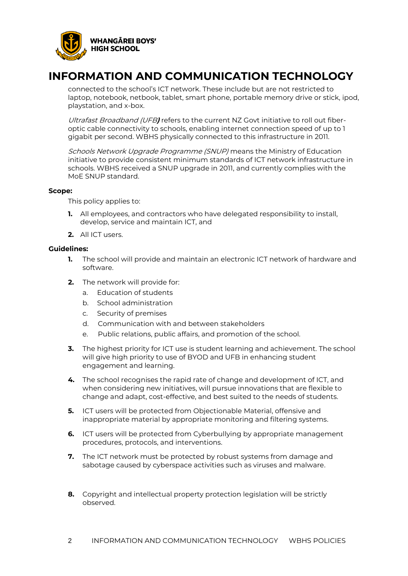

# **INFORMATION AND COMMUNICATION TECHNOLOGY**

connected to the school's ICT network. These include but are not restricted to laptop, notebook, netbook, tablet, smart phone, portable memory drive or stick, ipod, playstation, and x-box.

Ultrafast Broadband (UFB**)** refers to the current NZ Govt initiative to roll out fiberoptic cable connectivity to schools, enabling internet connection speed of up to 1 gigabit per second. WBHS physically connected to this infrastructure in 2011.

Schools Network Upgrade Programme (SNUP) means the Ministry of Education initiative to provide consistent minimum standards of ICT network infrastructure in schools. WBHS received a SNUP upgrade in 2011, and currently complies with the MoE SNUP standard.

### **Scope:**

This policy applies to:

- **1.** All employees, and contractors who have delegated responsibility to install, develop, service and maintain ICT, and
- **2.** All ICT users.

## **Guidelines:**

- **1.** The school will provide and maintain an electronic ICT network of hardware and software.
- **2.** The network will provide for:
	- a. Education of students
	- b. School administration
	- c. Security of premises
	- d. Communication with and between stakeholders
	- e. Public relations, public affairs, and promotion of the school.
- **3.** The highest priority for ICT use is student learning and achievement. The school will give high priority to use of BYOD and UFB in enhancing student engagement and learning.
- **4.** The school recognises the rapid rate of change and development of ICT, and when considering new initiatives, will pursue innovations that are flexible to change and adapt, cost-effective, and best suited to the needs of students.
- **5.** ICT users will be protected from Objectionable Material, offensive and inappropriate material by appropriate monitoring and filtering systems.
- **6.** ICT users will be protected from Cyberbullying by appropriate management procedures, protocols, and interventions.
- **7.** The ICT network must be protected by robust systems from damage and sabotage caused by cyberspace activities such as viruses and malware.
- **8.** Copyright and intellectual property protection legislation will be strictly observed.